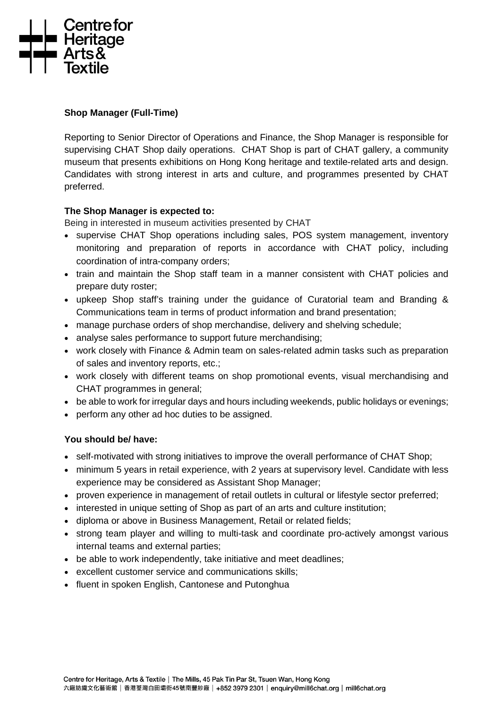

### **Shop Manager (Full-Time)**

Reporting to Senior Director of Operations and Finance, the Shop Manager is responsible for supervising CHAT Shop daily operations. CHAT Shop is part of CHAT gallery, a community museum that presents exhibitions on Hong Kong heritage and textile-related arts and design. Candidates with strong interest in arts and culture, and programmes presented by CHAT preferred.

#### **The Shop Manager is expected to:**

Being in interested in museum activities presented by CHAT

- supervise CHAT Shop operations including sales, POS system management, inventory monitoring and preparation of reports in accordance with CHAT policy, including coordination of intra-company orders;
- train and maintain the Shop staff team in a manner consistent with CHAT policies and prepare duty roster;
- upkeep Shop staff's training under the guidance of Curatorial team and Branding & Communications team in terms of product information and brand presentation;
- manage purchase orders of shop merchandise, delivery and shelving schedule;
- analyse sales performance to support future merchandising;
- work closely with Finance & Admin team on sales-related admin tasks such as preparation of sales and inventory reports, etc.;
- work closely with different teams on shop promotional events, visual merchandising and CHAT programmes in general;
- be able to work for irregular days and hours including weekends, public holidays or evenings;
- perform any other ad hoc duties to be assigned.

## **You should be/ have:**

- self-motivated with strong initiatives to improve the overall performance of CHAT Shop:
- minimum 5 years in retail experience, with 2 years at supervisory level. Candidate with less experience may be considered as Assistant Shop Manager;
- proven experience in management of retail outlets in cultural or lifestyle sector preferred;
- interested in unique setting of Shop as part of an arts and culture institution:
- diploma or above in Business Management, Retail or related fields;
- strong team player and willing to multi-task and coordinate pro-actively amongst various internal teams and external parties;
- be able to work independently, take initiative and meet deadlines:
- excellent customer service and communications skills;
- fluent in spoken English, Cantonese and Putonghua